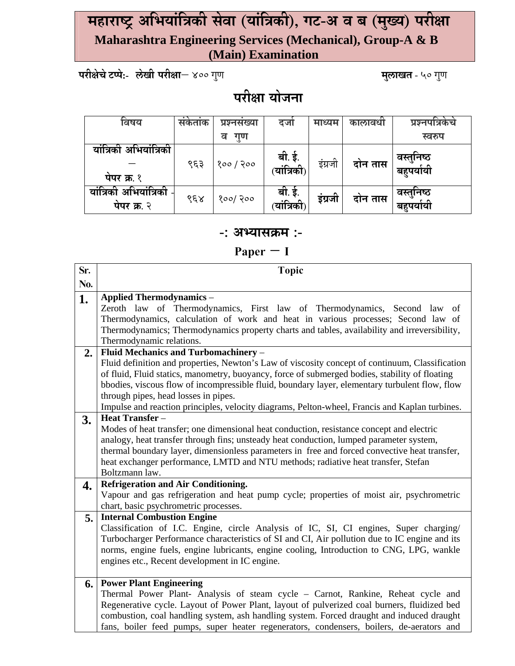### **महाराÍĘ अिभयांिĝकी सेवा (यांिĝकी), गट-अ व ब (म°य ु ) परी©ा Maharashtra Engineering Services (Mechanical), Group-A & B (Main) Examination**

**परी©ेचेटÃपे:- लेखी परी©ा**– 400 गणु **मलाखत ु** - 50 गणु

# **परी©ा योजना**

| विषय                      | सकताक                | प्रश्नसख्या | दजा                        | माध्यम  | कालावधी | प्रश्नपात्रकच |
|---------------------------|----------------------|-------------|----------------------------|---------|---------|---------------|
|                           |                      | गण<br>व     |                            |         |         | स्वरुप        |
| यांत्रिकी अभियांत्रिकी    |                      |             |                            |         |         | वस्तुनिष्ठ    |
|                           | ९६३                  | १०० / २००   | ्बी. ई.<br>(यांत्रिकी      | इंग्रजी | दोन तास | बहुपर्यायी    |
| पेपर क्र. १               |                      |             |                            |         |         |               |
| अभियांत्रिकी<br>यांत्रिकी |                      |             | बी. ई.                     | इंग्रजी |         | वस्तुनिष्ठ    |
| पेपर क्र. २               | $\delta \xi \lambda$ | १००/ २००    | <sub>.</sub><br>(यांत्रिकी |         | दोन तास | बहपर्यायी     |

#### **-: अÆयासĎम :-**

 **Paper – I** 

| Sr. | <b>Topic</b>                                                                                                                                                                                      |
|-----|---------------------------------------------------------------------------------------------------------------------------------------------------------------------------------------------------|
| No. |                                                                                                                                                                                                   |
| 1.  | <b>Applied Thermodynamics -</b>                                                                                                                                                                   |
|     | Zeroth law of Thermodynamics, First law of Thermodynamics, Second law<br>of                                                                                                                       |
|     | Thermodynamics, calculation of work and heat in various processes; Second law of                                                                                                                  |
|     | Thermodynamics; Thermodynamics property charts and tables, availability and irreversibility,                                                                                                      |
|     | Thermodynamic relations.                                                                                                                                                                          |
| 2.  | Fluid Mechanics and Turbomachinery -                                                                                                                                                              |
|     | Fluid definition and properties, Newton's Law of viscosity concept of continuum, Classification<br>of fluid, Fluid statics, manometry, buoyancy, force of submerged bodies, stability of floating |
|     | bbodies, viscous flow of incompressible fluid, boundary layer, elementary turbulent flow, flow                                                                                                    |
|     | through pipes, head losses in pipes.                                                                                                                                                              |
|     | Impulse and reaction principles, velocity diagrams, Pelton-wheel, Francis and Kaplan turbines.                                                                                                    |
| 3.  | <b>Heat Transfer</b> –                                                                                                                                                                            |
|     | Modes of heat transfer; one dimensional heat conduction, resistance concept and electric                                                                                                          |
|     | analogy, heat transfer through fins; unsteady heat conduction, lumped parameter system,                                                                                                           |
|     | thermal boundary layer, dimensionless parameters in free and forced convective heat transfer,                                                                                                     |
|     | heat exchanger performance, LMTD and NTU methods; radiative heat transfer, Stefan                                                                                                                 |
|     | Boltzmann law.                                                                                                                                                                                    |
| 4.  | <b>Refrigeration and Air Conditioning.</b>                                                                                                                                                        |
|     | Vapour and gas refrigeration and heat pump cycle; properties of moist air, psychrometric                                                                                                          |
|     | chart, basic psychrometric processes.                                                                                                                                                             |
| 5.  | <b>Internal Combustion Engine</b>                                                                                                                                                                 |
|     | Classification of I.C. Engine, circle Analysis of IC, SI, CI engines, Super charging/<br>Turbocharger Performance characteristics of SI and CI, Air pollution due to IC engine and its            |
|     | norms, engine fuels, engine lubricants, engine cooling, Introduction to CNG, LPG, wankle                                                                                                          |
|     | engines etc., Recent development in IC engine.                                                                                                                                                    |
|     |                                                                                                                                                                                                   |
| 6.  | <b>Power Plant Engineering</b>                                                                                                                                                                    |
|     | Thermal Power Plant- Analysis of steam cycle – Carnot, Rankine, Reheat cycle and                                                                                                                  |
|     | Regenerative cycle. Layout of Power Plant, layout of pulverized coal burners, fluidized bed                                                                                                       |
|     | combustion, coal handling system, ash handling system. Forced draught and induced draught                                                                                                         |
|     | fans, boiler feed pumps, super heater regenerators, condensers, boilers, de-aerators and                                                                                                          |